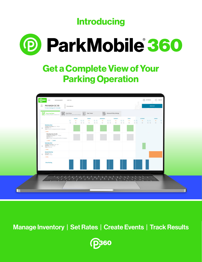**Introducing** 



## Get a Complete View of Your Parking Operation



Manage Inventory | Set Rates | Create Events | Track Results

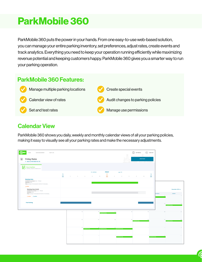# ParkMobile 360

ParkMobile 360 puts the power in your hands. From one easy-to-use web-based solution, you can manage your entire parking inventory, set preferences, adjust rates, create events and track analytics. Everything you need to keep your operation running efficiently while maximizing revenue potential and keeping customers happy. ParkMobile 360 gives you a smarter way to run your parking operation.



### Calendar View

ParkMobile 360 shows you daily, weekly and monthly calendar views of all your parking policies, making it easy to visually see all your parking rates and make the necessary adjustments.

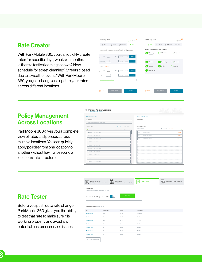### Rate Creator

With ParkMobile 360, you can quickly create rates for specific days, weeks or months. Is there a festival coming to town? New schedule for street cleaning? Streets closed due to a weather event? With ParkMobile 360, you just change and update your rates across different locations.



#### Policy Management Across Locations

ParkMobile 360 gives you a complete view of rates and policies across multiple locations. You can quickly apply policies from one location to another without having to rebuild a location's rate structure.

| <b>Select Policy/Location</b><br>PM WASH DC 95 |                                                   | $\checkmark$                   | <b>Move Selected Zones to</b><br>PM WASH DC 95 |  |
|------------------------------------------------|---------------------------------------------------|--------------------------------|------------------------------------------------|--|
| Search by zone number or name/description      |                                                   |                                |                                                |  |
| Find Zone(s)                                   | <b>Export CSV</b>                                 | 1-100 of 238 $\langle \rangle$ | Selected Zones (3)                             |  |
| Select Zones 1-100                             | Use shift-click to select a group of zone numbers |                                | Max limit: 100 zones                           |  |
| $+21280$<br>200 3RD ST SW W                    |                                                   |                                | 900 22ND ST NW W<br>2109                       |  |
| $+ 21281$<br>200 3RD ST SW E                   |                                                   |                                | 2114<br>2100 VIRGINIA AVE NW N                 |  |
| $+21282$<br>300 3RD ST SW W                    |                                                   |                                | 2116<br>2200 VIRGINIA AVE NW S                 |  |
| $+21283$<br>300 3RD ST SW E                    |                                                   |                                |                                                |  |
| $+21284$<br>400 3RD ST SW E                    |                                                   |                                |                                                |  |
| $+21292$<br>300 4TH ST SW W                    |                                                   |                                |                                                |  |
| $+21304$<br>200 6TH ST SW E                    |                                                   |                                |                                                |  |
| $+21209$<br>0 7TH ST SW W                      |                                                   |                                |                                                |  |
| $+21310$<br>0 7TH ST SW E                      |                                                   |                                |                                                |  |
| $+21311$<br>100 7TH ST SW W                    |                                                   |                                |                                                |  |

|                                            | <b>Move Selected Zones to</b>         |          |
|--------------------------------------------|---------------------------------------|----------|
| PM WASH DC 95                              |                                       |          |
| Selected Zones (3)<br>Max limit: 100 zones | Co Upload CSV X Cancel v Save changes |          |
| 2109                                       | 900 22ND ST NW W                      | X Remove |
| 2114                                       | 2100 VIRGINIA AVE NW N                | X Remove |
| 2116                                       | 2200 VIRGINIA AVE NW S                | X Remove |
|                                            |                                       |          |
|                                            |                                       |          |
|                                            |                                       |          |
|                                            |                                       |          |
|                                            |                                       |          |
|                                            |                                       |          |
|                                            |                                       |          |

edit (Draft)

#### Rate Tester

Before you push out a rate change, ParkMobile 360 gives you the ability to test that rate to make sure it is working properly and avoid any potential customer service issues.

| <b>Recurring Rates</b><br>(weekday, earlybird, weekend, etc.)     | <b>.</b><br>囲恐    | <b>Event Rates</b><br>(special events, sports, events, holidays) | <b>Rate Tester</b><br>瞗 | <b>Advanced Policy Settings</b> |
|-------------------------------------------------------------------|-------------------|------------------------------------------------------------------|-------------------------|---------------------------------|
| Rate tester<br>view all available rates for a given date and time |                   |                                                                  |                         |                                 |
| Start date 10/17/2018 [6] at                                      | am pm<br>9:00     | <b>RUN TEST</b>                                                  |                         |                                 |
| Available Rates (showing 7 of 7)                                  |                   |                                                                  |                         |                                 |
| Rate                                                              | <b>Time Block</b> | Price                                                            | Exploration             |                                 |
| <b>Weekday Rate</b>                                               | 15m               | \$2.25                                                           | 09:15 am                |                                 |
| <b>Weekday Rate</b>                                               | 30m               | \$2.50                                                           | 09:30am                 |                                 |
| <b>Weekday Rate</b>                                               | 45m               | \$2.75                                                           | 09:45am                 |                                 |
| <b>Weekday Rate</b>                                               | 1 <sub>h</sub>    | \$3                                                              | 10:00am                 |                                 |
| <b>Weekday Rate</b>                                               | 2h                | \$4.75                                                           | 11:00am                 |                                 |
| <b>Weekday Rate</b>                                               | 3h                | \$6.50                                                           | 12:00pm                 |                                 |
| <b>Weekday Rate</b>                                               | 4h                | \$8.25                                                           | 01:00pm                 |                                 |
| C LOAD MORE RESULTS                                               |                   |                                                                  |                         |                                 |

D)